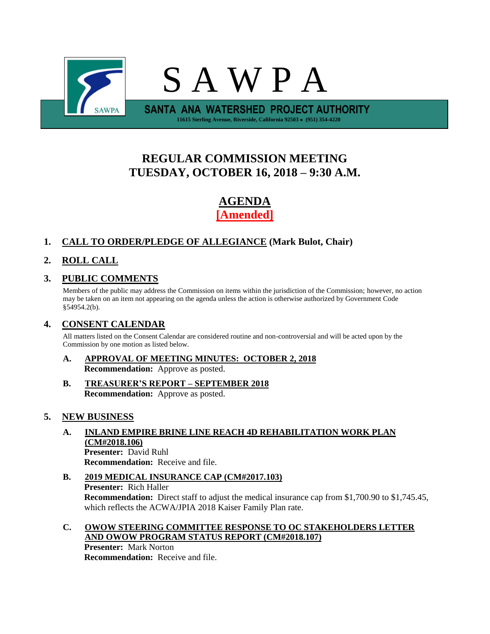

# **REGULAR COMMISSION MEETING TUESDAY, OCTOBER 16, 2018 – 9:30 A.M.**

# **AGENDA [Amended]**

## **1. CALL TO ORDER/PLEDGE OF ALLEGIANCE (Mark Bulot, Chair)**

## **2. ROLL CALL**

### **3. PUBLIC COMMENTS**

Members of the public may address the Commission on items within the jurisdiction of the Commission; however, no action may be taken on an item not appearing on the agenda unless the action is otherwise authorized by Government Code §54954.2(b).

### **4. CONSENT CALENDAR**

All matters listed on the Consent Calendar are considered routine and non-controversial and will be acted upon by the Commission by one motion as listed below.

- **A. APPROVAL OF MEETING MINUTES: OCTOBER 2, 2018 Recommendation:** Approve as posted.
- **B. TREASURER'S REPORT – SEPTEMBER 2018 Recommendation:** Approve as posted.

### **5. NEW BUSINESS**

- **A. INLAND EMPIRE BRINE LINE REACH 4D REHABILITATION WORK PLAN (CM#2018.106) Presenter:** David Ruhl **Recommendation:** Receive and file.
- **B. 2019 MEDICAL INSURANCE CAP (CM#2017.103) Presenter:** Rich Haller **Recommendation:** Direct staff to adjust the medical insurance cap from \$1,700.90 to \$1,745.45, which reflects the ACWA/JPIA 2018 Kaiser Family Plan rate.
- **C. OWOW STEERING COMMITTEE RESPONSE TO OC STAKEHOLDERS LETTER AND OWOW PROGRAM STATUS REPORT (CM#2018.107)**

**Presenter:** Mark Norton **Recommendation:** Receive and file.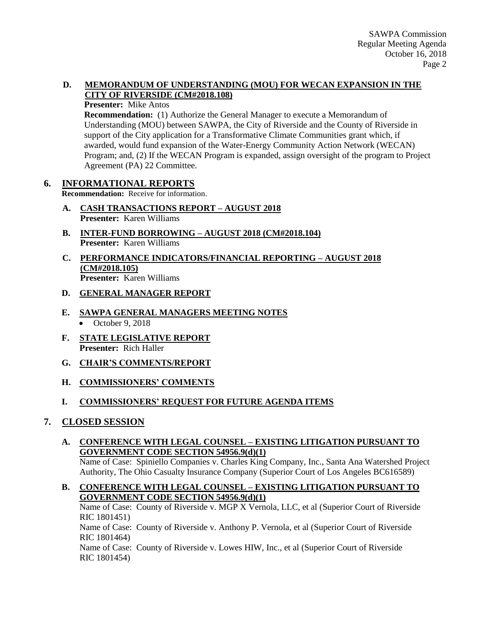#### **D. MEMORANDUM OF UNDERSTANDING (MOU) FOR WECAN EXPANSION IN THE CITY OF RIVERSIDE (CM#2018.108)**

#### **Presenter:** Mike Antos

**Recommendation:** (1) Authorize the General Manager to execute a Memorandum of Understanding (MOU) between SAWPA, the City of Riverside and the County of Riverside in support of the City application for a Transformative Climate Communities grant which, if awarded, would fund expansion of the Water-Energy Community Action Network (WECAN) Program; and, (2) If the WECAN Program is expanded, assign oversight of the program to Project Agreement (PA) 22 Committee.

### **6. INFORMATIONAL REPORTS**

**Recommendation:** Receive for information.

- **A. CASH TRANSACTIONS REPORT – AUGUST 2018 Presenter:** Karen Williams
- **B. INTER-FUND BORROWING – AUGUST 2018 (CM#2018.104) Presenter:** Karen Williams
- **C. PERFORMANCE INDICATORS/FINANCIAL REPORTING – AUGUST 2018 (CM#2018.105) Presenter:** Karen Williams

#### **D. GENERAL MANAGER REPORT**

- **E. SAWPA GENERAL MANAGERS MEETING NOTES**  $\bullet$  October 9, 2018
- **F. STATE LEGISLATIVE REPORT Presenter:** Rich Haller
- **G. CHAIR'S COMMENTS/REPORT**
- **H. COMMISSIONERS' COMMENTS**

### **I. COMMISSIONERS' REQUEST FOR FUTURE AGENDA ITEMS**

### **7. CLOSED SESSION**

#### **A. CONFERENCE WITH LEGAL COUNSEL – EXISTING LITIGATION PURSUANT TO GOVERNMENT CODE SECTION 54956.9(d)(1)**

Name of Case: Spiniello Companies v. Charles King Company, Inc., Santa Ana Watershed Project Authority, The Ohio Casualty Insurance Company (Superior Court of Los Angeles BC616589)

### **B. CONFERENCE WITH LEGAL COUNSEL – EXISTING LITIGATION PURSUANT TO GOVERNMENT CODE SECTION 54956.9(d)(1)**

Name of Case: County of Riverside v. MGP X Vernola, LLC, et al (Superior Court of Riverside RIC 1801451)

Name of Case: County of Riverside v. Anthony P. Vernola, et al (Superior Court of Riverside RIC 1801464)

Name of Case: County of Riverside v. Lowes HIW, Inc., et al (Superior Court of Riverside RIC 1801454)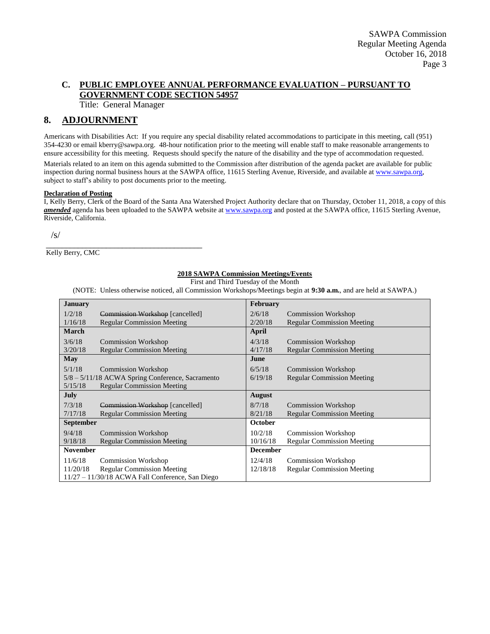#### **C. PUBLIC EMPLOYEE ANNUAL PERFORMANCE EVALUATION – PURSUANT TO GOVERNMENT CODE SECTION 54957**

Title: General Manager

#### **8. ADJOURNMENT**

Americans with Disabilities Act: If you require any special disability related accommodations to participate in this meeting, call (951) 354-4230 or email kberry@sawpa.org. 48-hour notification prior to the meeting will enable staff to make reasonable arrangements to ensure accessibility for this meeting. Requests should specify the nature of the disability and the type of accommodation requested.

Materials related to an item on this agenda submitted to the Commission after distribution of the agenda packet are available for public inspection during normal business hours at the SAWPA office, 11615 Sterling Avenue, Riverside, and available a[t www.sawpa.org,](http://www.sawpa.org/) subject to staff's ability to post documents prior to the meeting.

#### **Declaration of Posting**

I, Kelly Berry, Clerk of the Board of the Santa Ana Watershed Project Authority declare that on Thursday, October 11, 2018, a copy of this amended agenda has been uploaded to the SAWPA website at [www.sawpa.org](http://www.sawpa.org/) and posted at the SAWPA office, 11615 Sterling Avenue, Riverside, California.

/s/

\_\_\_\_\_\_\_\_\_\_\_\_\_\_\_\_\_\_\_\_\_\_\_\_\_\_\_\_\_\_\_\_\_\_\_\_\_\_\_ Kelly Berry, CMC

#### **2018 SAWPA Commission Meetings/Events**

First and Third Tuesday of the Month

(NOTE: Unless otherwise noticed, all Commission Workshops/Meetings begin at **9:30 a.m.**, and are held at SAWPA.)

| <b>January</b>                                   |                                                    | <b>February</b> |                                   |
|--------------------------------------------------|----------------------------------------------------|-----------------|-----------------------------------|
| 1/2/18                                           | Commission Workshop [cancelled]                    | 2/6/18          | <b>Commission Workshop</b>        |
| 1/16/18                                          | <b>Regular Commission Meeting</b>                  | 2/20/18         | <b>Regular Commission Meeting</b> |
| <b>March</b>                                     |                                                    | <b>April</b>    |                                   |
| 3/6/18                                           | <b>Commission Workshop</b>                         | 4/3/18          | <b>Commission Workshop</b>        |
| 3/20/18                                          | <b>Regular Commission Meeting</b>                  | 4/17/18         | <b>Regular Commission Meeting</b> |
| May                                              |                                                    | June            |                                   |
| 5/1/18                                           | <b>Commission Workshop</b>                         | 6/5/18          | <b>Commission Workshop</b>        |
| 5/8 – 5/11/18 ACWA Spring Conference, Sacramento |                                                    | 6/19/18         | <b>Regular Commission Meeting</b> |
| 5/15/18                                          | <b>Regular Commission Meeting</b>                  |                 |                                   |
| July                                             |                                                    | August          |                                   |
| 7/3/18                                           | Commission Workshop [cancelled]                    | 8/7/18          | <b>Commission Workshop</b>        |
| 7/17/18                                          | <b>Regular Commission Meeting</b>                  | 8/21/18         | <b>Regular Commission Meeting</b> |
| <b>September</b>                                 |                                                    | <b>October</b>  |                                   |
| 9/4/18                                           | <b>Commission Workshop</b>                         | 10/2/18         | <b>Commission Workshop</b>        |
| 9/18/18                                          | <b>Regular Commission Meeting</b>                  | 10/16/18        | <b>Regular Commission Meeting</b> |
| <b>November</b>                                  |                                                    | <b>December</b> |                                   |
| 11/6/18                                          | <b>Commission Workshop</b>                         | 12/4/18         | <b>Commission Workshop</b>        |
| 11/20/18                                         | <b>Regular Commission Meeting</b>                  | 12/18/18        | <b>Regular Commission Meeting</b> |
|                                                  | $11/27 - 11/30/18$ ACWA Fall Conference, San Diego |                 |                                   |